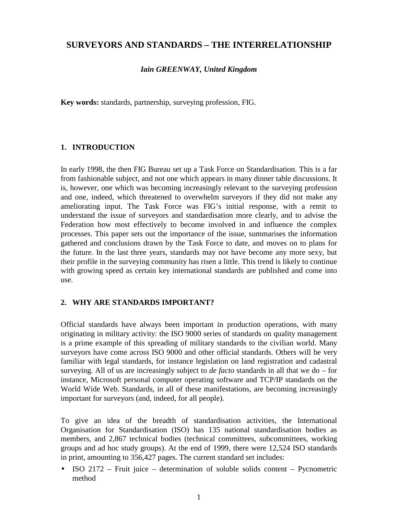# **SURVEYORS AND STANDARDS – THE INTERRELATIONSHIP**

#### *Iain GREENWAY, United Kingdom*

**Key words:** standards, partnership, surveying profession, FIG.

## **1. INTRODUCTION**

In early 1998, the then FIG Bureau set up a Task Force on Standardisation. This is a far from fashionable subject, and not one which appears in many dinner table discussions. It is, however, one which was becoming increasingly relevant to the surveying profession and one, indeed, which threatened to overwhelm surveyors if they did not make any ameliorating input. The Task Force was FIG's initial response, with a remit to understand the issue of surveyors and standardisation more clearly, and to advise the Federation how most effectively to become involved in and influence the complex processes. This paper sets out the importance of the issue, summarises the information gathered and conclusions drawn by the Task Force to date, and moves on to plans for the future. In the last three years, standards may not have become any more sexy, but their profile in the surveying community has risen a little. This trend is likely to continue with growing speed as certain key international standards are published and come into use.

#### **2. WHY ARE STANDARDS IMPORTANT?**

Official standards have always been important in production operations, with many originating in military activity: the ISO 9000 series of standards on quality management is a prime example of this spreading of military standards to the civilian world. Many surveyors have come across ISO 9000 and other official standards. Others will be very familiar with legal standards, for instance legislation on land registration and cadastral surveying. All of us are increasingly subject to *de facto* standards in all that we do – for instance, Microsoft personal computer operating software and TCP/IP standards on the World Wide Web. Standards, in all of these manifestations, are becoming increasingly important for surveyors (and, indeed, for all people).

To give an idea of the breadth of standardisation activities, the International Organisation for Standardisation (ISO) has 135 national standardisation bodies as members, and 2,867 technical bodies (technical committees, subcommittees, working groups and ad hoc study groups). At the end of 1999, there were 12,524 ISO standards in print, amounting to 356,427 pages. The current standard set includes:

• ISO 2172 – Fruit juice – determination of soluble solids content – Pycnometric method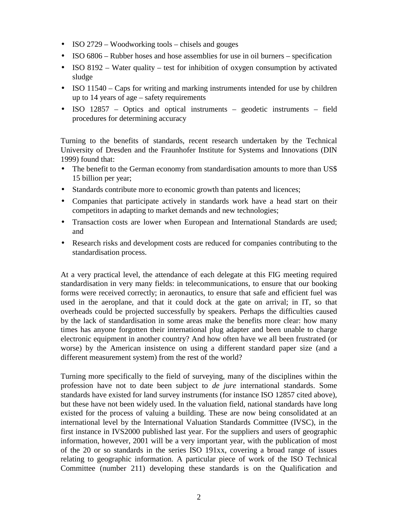- ISO 2729 Woodworking tools chisels and gouges
- ISO 6806 Rubber hoses and hose assemblies for use in oil burners specification
- ISO 8192 Water quality test for inhibition of oxygen consumption by activated sludge
- ISO 11540 Caps for writing and marking instruments intended for use by children up to 14 years of age – safety requirements
- ISO 12857 Optics and optical instruments geodetic instruments field procedures for determining accuracy

Turning to the benefits of standards, recent research undertaken by the Technical University of Dresden and the Fraunhofer Institute for Systems and Innovations (DIN 1999) found that:

- The benefit to the German economy from standardisation amounts to more than US\$ 15 billion per year;
- Standards contribute more to economic growth than patents and licences;
- Companies that participate actively in standards work have a head start on their competitors in adapting to market demands and new technologies;
- Transaction costs are lower when European and International Standards are used; and
- Research risks and development costs are reduced for companies contributing to the standardisation process.

At a very practical level, the attendance of each delegate at this FIG meeting required standardisation in very many fields: in telecommunications, to ensure that our booking forms were received correctly; in aeronautics, to ensure that safe and efficient fuel was used in the aeroplane, and that it could dock at the gate on arrival; in IT, so that overheads could be projected successfully by speakers. Perhaps the difficulties caused by the lack of standardisation in some areas make the benefits more clear: how many times has anyone forgotten their international plug adapter and been unable to charge electronic equipment in another country? And how often have we all been frustrated (or worse) by the American insistence on using a different standard paper size (and a different measurement system) from the rest of the world?

Turning more specifically to the field of surveying, many of the disciplines within the profession have not to date been subject to *de jure* international standards. Some standards have existed for land survey instruments (for instance ISO 12857 cited above), but these have not been widely used. In the valuation field, national standards have long existed for the process of valuing a building. These are now being consolidated at an international level by the International Valuation Standards Committee (IVSC), in the first instance in IVS2000 published last year. For the suppliers and users of geographic information, however, 2001 will be a very important year, with the publication of most of the 20 or so standards in the series ISO 191xx, covering a broad range of issues relating to geographic information. A particular piece of work of the ISO Technical Committee (number 211) developing these standards is on the Qualification and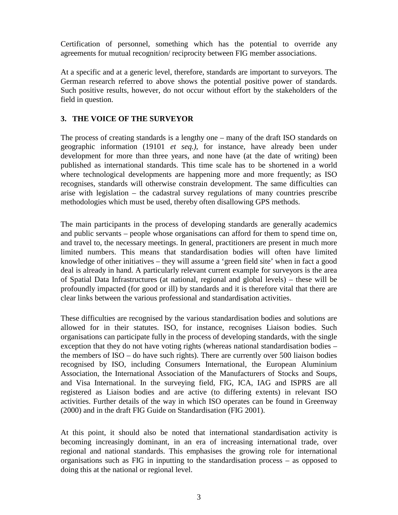Certification of personnel, something which has the potential to override any agreements for mutual recognition/ reciprocity between FIG member associations.

At a specific and at a generic level, therefore, standards are important to surveyors. The German research referred to above shows the potential positive power of standards. Such positive results, however, do not occur without effort by the stakeholders of the field in question.

## **3. THE VOICE OF THE SURVEYOR**

The process of creating standards is a lengthy one – many of the draft ISO standards on geographic information (19101 *et seq.)*, for instance, have already been under development for more than three years, and none have (at the date of writing) been published as international standards. This time scale has to be shortened in a world where technological developments are happening more and more frequently; as ISO recognises, standards will otherwise constrain development. The same difficulties can arise with legislation – the cadastral survey regulations of many countries prescribe methodologies which must be used, thereby often disallowing GPS methods.

The main participants in the process of developing standards are generally academics and public servants – people whose organisations can afford for them to spend time on, and travel to, the necessary meetings. In general, practitioners are present in much more limited numbers. This means that standardisation bodies will often have limited knowledge of other initiatives – they will assume a 'green field site' when in fact a good deal is already in hand. A particularly relevant current example for surveyors is the area of Spatial Data Infrastructures (at national, regional and global levels) – these will be profoundly impacted (for good or ill) by standards and it is therefore vital that there are clear links between the various professional and standardisation activities.

These difficulties are recognised by the various standardisation bodies and solutions are allowed for in their statutes. ISO, for instance, recognises Liaison bodies. Such organisations can participate fully in the process of developing standards, with the single exception that they do not have voting rights (whereas national standardisation bodies – the members of ISO – do have such rights). There are currently over 500 liaison bodies recognised by ISO, including Consumers International, the European Aluminium Association, the International Association of the Manufacturers of Stocks and Soups, and Visa International. In the surveying field, FIG, ICA, IAG and ISPRS are all registered as Liaison bodies and are active (to differing extents) in relevant ISO activities. Further details of the way in which ISO operates can be found in Greenway (2000) and in the draft FIG Guide on Standardisation (FIG 2001).

At this point, it should also be noted that international standardisation activity is becoming increasingly dominant, in an era of increasing international trade, over regional and national standards. This emphasises the growing role for international organisations such as FIG in inputting to the standardisation process – as opposed to doing this at the national or regional level.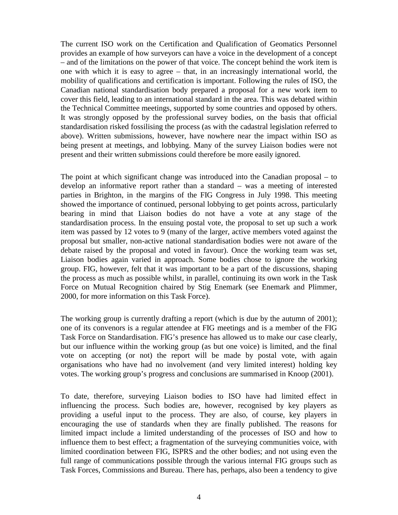The current ISO work on the Certification and Qualification of Geomatics Personnel provides an example of how surveyors can have a voice in the development of a concept – and of the limitations on the power of that voice. The concept behind the work item is one with which it is easy to agree – that, in an increasingly international world, the mobility of qualifications and certification is important. Following the rules of ISO, the Canadian national standardisation body prepared a proposal for a new work item to cover this field, leading to an international standard in the area. This was debated within the Technical Committee meetings, supported by some countries and opposed by others. It was strongly opposed by the professional survey bodies, on the basis that official standardisation risked fossilising the process (as with the cadastral legislation referred to above). Written submissions, however, have nowhere near the impact within ISO as being present at meetings, and lobbying. Many of the survey Liaison bodies were not present and their written submissions could therefore be more easily ignored.

The point at which significant change was introduced into the Canadian proposal – to develop an informative report rather than a standard – was a meeting of interested parties in Brighton, in the margins of the FIG Congress in July 1998. This meeting showed the importance of continued, personal lobbying to get points across, particularly bearing in mind that Liaison bodies do not have a vote at any stage of the standardisation process. In the ensuing postal vote, the proposal to set up such a work item was passed by 12 votes to 9 (many of the larger, active members voted against the proposal but smaller, non-active national standardisation bodies were not aware of the debate raised by the proposal and voted in favour). Once the working team was set, Liaison bodies again varied in approach. Some bodies chose to ignore the working group. FIG, however, felt that it was important to be a part of the discussions, shaping the process as much as possible whilst, in parallel, continuing its own work in the Task Force on Mutual Recognition chaired by Stig Enemark (see Enemark and Plimmer, 2000, for more information on this Task Force).

The working group is currently drafting a report (which is due by the autumn of 2001); one of its convenors is a regular attendee at FIG meetings and is a member of the FIG Task Force on Standardisation. FIG's presence has allowed us to make our case clearly, but our influence within the working group (as but one voice) is limited, and the final vote on accepting (or not) the report will be made by postal vote, with again organisations who have had no involvement (and very limited interest) holding key votes. The working group's progress and conclusions are summarised in Knoop (2001).

To date, therefore, surveying Liaison bodies to ISO have had limited effect in influencing the process. Such bodies are, however, recognised by key players as providing a useful input to the process. They are also, of course, key players in encouraging the use of standards when they are finally published. The reasons for limited impact include a limited understanding of the processes of ISO and how to influence them to best effect; a fragmentation of the surveying communities voice, with limited coordination between FIG, ISPRS and the other bodies; and not using even the full range of communications possible through the various internal FIG groups such as Task Forces, Commissions and Bureau. There has, perhaps, also been a tendency to give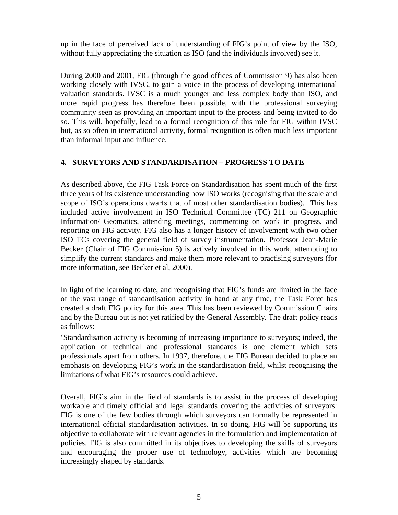up in the face of perceived lack of understanding of FIG's point of view by the ISO, without fully appreciating the situation as ISO (and the individuals involved) see it.

During 2000 and 2001, FIG (through the good offices of Commission 9) has also been working closely with IVSC, to gain a voice in the process of developing international valuation standards. IVSC is a much younger and less complex body than ISO, and more rapid progress has therefore been possible, with the professional surveying community seen as providing an important input to the process and being invited to do so. This will, hopefully, lead to a formal recognition of this role for FIG within IVSC but, as so often in international activity, formal recognition is often much less important than informal input and influence.

# **4. SURVEYORS AND STANDARDISATION – PROGRESS TO DATE**

As described above, the FIG Task Force on Standardisation has spent much of the first three years of its existence understanding how ISO works (recognising that the scale and scope of ISO's operations dwarfs that of most other standardisation bodies). This has included active involvement in ISO Technical Committee (TC) 211 on Geographic Information/ Geomatics, attending meetings, commenting on work in progress, and reporting on FIG activity. FIG also has a longer history of involvement with two other ISO TCs covering the general field of survey instrumentation. Professor Jean-Marie Becker (Chair of FIG Commission 5) is actively involved in this work, attempting to simplify the current standards and make them more relevant to practising surveyors (for more information, see Becker et al, 2000).

In light of the learning to date, and recognising that FIG's funds are limited in the face of the vast range of standardisation activity in hand at any time, the Task Force has created a draft FIG policy for this area. This has been reviewed by Commission Chairs and by the Bureau but is not yet ratified by the General Assembly. The draft policy reads as follows:

'Standardisation activity is becoming of increasing importance to surveyors; indeed, the application of technical and professional standards is one element which sets professionals apart from others. In 1997, therefore, the FIG Bureau decided to place an emphasis on developing FIG's work in the standardisation field, whilst recognising the limitations of what FIG's resources could achieve.

Overall, FIG's aim in the field of standards is to assist in the process of developing workable and timely official and legal standards covering the activities of surveyors: FIG is one of the few bodies through which surveyors can formally be represented in international official standardisation activities. In so doing, FIG will be supporting its objective to collaborate with relevant agencies in the formulation and implementation of policies. FIG is also committed in its objectives to developing the skills of surveyors and encouraging the proper use of technology, activities which are becoming increasingly shaped by standards.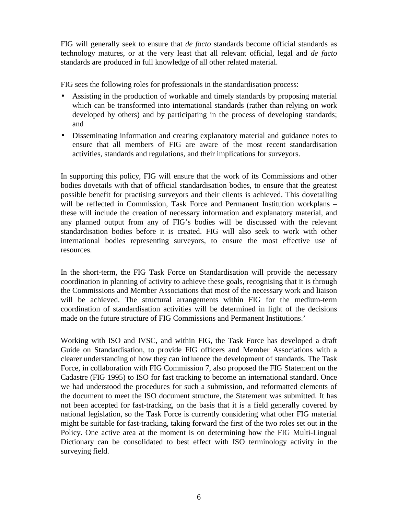FIG will generally seek to ensure that *de facto* standards become official standards as technology matures, or at the very least that all relevant official, legal and *de facto* standards are produced in full knowledge of all other related material.

FIG sees the following roles for professionals in the standardisation process:

- Assisting in the production of workable and timely standards by proposing material which can be transformed into international standards (rather than relying on work developed by others) and by participating in the process of developing standards; and
- Disseminating information and creating explanatory material and guidance notes to ensure that all members of FIG are aware of the most recent standardisation activities, standards and regulations, and their implications for surveyors.

In supporting this policy, FIG will ensure that the work of its Commissions and other bodies dovetails with that of official standardisation bodies, to ensure that the greatest possible benefit for practising surveyors and their clients is achieved. This dovetailing will be reflected in Commission, Task Force and Permanent Institution workplans – these will include the creation of necessary information and explanatory material, and any planned output from any of FIG's bodies will be discussed with the relevant standardisation bodies before it is created. FIG will also seek to work with other international bodies representing surveyors, to ensure the most effective use of resources.

In the short-term, the FIG Task Force on Standardisation will provide the necessary coordination in planning of activity to achieve these goals, recognising that it is through the Commissions and Member Associations that most of the necessary work and liaison will be achieved. The structural arrangements within FIG for the medium-term coordination of standardisation activities will be determined in light of the decisions made on the future structure of FIG Commissions and Permanent Institutions.'

Working with ISO and IVSC, and within FIG, the Task Force has developed a draft Guide on Standardisation, to provide FIG officers and Member Associations with a clearer understanding of how they can influence the development of standards. The Task Force, in collaboration with FIG Commission 7, also proposed the FIG Statement on the Cadastre (FIG 1995) to ISO for fast tracking to become an international standard. Once we had understood the procedures for such a submission, and reformatted elements of the document to meet the ISO document structure, the Statement was submitted. It has not been accepted for fast-tracking, on the basis that it is a field generally covered by national legislation, so the Task Force is currently considering what other FIG material might be suitable for fast-tracking, taking forward the first of the two roles set out in the Policy. One active area at the moment is on determining how the FIG Multi-Lingual Dictionary can be consolidated to best effect with ISO terminology activity in the surveying field.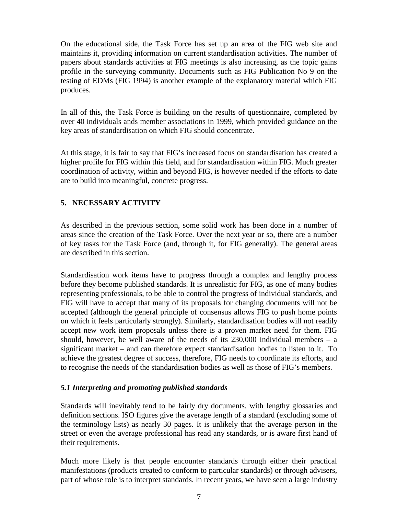On the educational side, the Task Force has set up an area of the FIG web site and maintains it, providing information on current standardisation activities. The number of papers about standards activities at FIG meetings is also increasing, as the topic gains profile in the surveying community. Documents such as FIG Publication No 9 on the testing of EDMs (FIG 1994) is another example of the explanatory material which FIG produces.

In all of this, the Task Force is building on the results of questionnaire, completed by over 40 individuals ands member associations in 1999, which provided guidance on the key areas of standardisation on which FIG should concentrate.

At this stage, it is fair to say that FIG's increased focus on standardisation has created a higher profile for FIG within this field, and for standardisation within FIG. Much greater coordination of activity, within and beyond FIG, is however needed if the efforts to date are to build into meaningful, concrete progress.

# **5. NECESSARY ACTIVITY**

As described in the previous section, some solid work has been done in a number of areas since the creation of the Task Force. Over the next year or so, there are a number of key tasks for the Task Force (and, through it, for FIG generally). The general areas are described in this section.

Standardisation work items have to progress through a complex and lengthy process before they become published standards. It is unrealistic for FIG, as one of many bodies representing professionals, to be able to control the progress of individual standards, and FIG will have to accept that many of its proposals for changing documents will not be accepted (although the general principle of consensus allows FIG to push home points on which it feels particularly strongly). Similarly, standardisation bodies will not readily accept new work item proposals unless there is a proven market need for them. FIG should, however, be well aware of the needs of its  $230,000$  individual members – a significant market – and can therefore expect standardisation bodies to listen to it. To achieve the greatest degree of success, therefore, FIG needs to coordinate its efforts, and to recognise the needs of the standardisation bodies as well as those of FIG's members.

#### *5.1 Interpreting and promoting published standards*

Standards will inevitably tend to be fairly dry documents, with lengthy glossaries and definition sections. ISO figures give the average length of a standard (excluding some of the terminology lists) as nearly 30 pages. It is unlikely that the average person in the street or even the average professional has read any standards, or is aware first hand of their requirements.

Much more likely is that people encounter standards through either their practical manifestations (products created to conform to particular standards) or through advisers, part of whose role is to interpret standards. In recent years, we have seen a large industry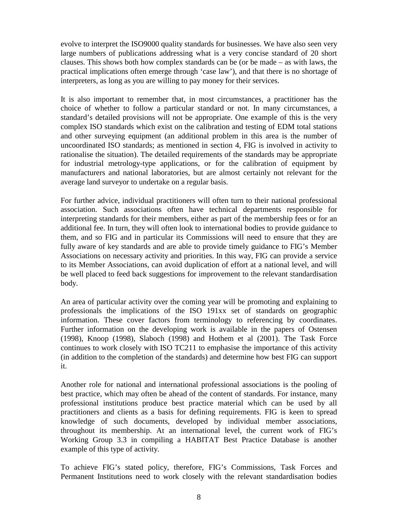evolve to interpret the ISO9000 quality standards for businesses. We have also seen very large numbers of publications addressing what is a very concise standard of 20 short clauses. This shows both how complex standards can be (or be made – as with laws, the practical implications often emerge through 'case law'), and that there is no shortage of interpreters, as long as you are willing to pay money for their services.

It is also important to remember that, in most circumstances, a practitioner has the choice of whether to follow a particular standard or not. In many circumstances, a standard's detailed provisions will not be appropriate. One example of this is the very complex ISO standards which exist on the calibration and testing of EDM total stations and other surveying equipment (an additional problem in this area is the number of uncoordinated ISO standards; as mentioned in section 4, FIG is involved in activity to rationalise the situation). The detailed requirements of the standards may be appropriate for industrial metrology-type applications, or for the calibration of equipment by manufacturers and national laboratories, but are almost certainly not relevant for the average land surveyor to undertake on a regular basis.

For further advice, individual practitioners will often turn to their national professional association. Such associations often have technical departments responsible for interpreting standards for their members, either as part of the membership fees or for an additional fee. In turn, they will often look to international bodies to provide guidance to them, and so FIG and in particular its Commissions will need to ensure that they are fully aware of key standards and are able to provide timely guidance to FIG's Member Associations on necessary activity and priorities. In this way, FIG can provide a service to its Member Associations, can avoid duplication of effort at a national level, and will be well placed to feed back suggestions for improvement to the relevant standardisation body.

An area of particular activity over the coming year will be promoting and explaining to professionals the implications of the ISO 191xx set of standards on geographic information. These cover factors from terminology to referencing by coordinates. Further information on the developing work is available in the papers of Ostensen (1998), Knoop (1998), Slaboch (1998) and Hothem et al (2001). The Task Force continues to work closely with ISO TC211 to emphasise the importance of this activity (in addition to the completion of the standards) and determine how best FIG can support it.

Another role for national and international professional associations is the pooling of best practice, which may often be ahead of the content of standards. For instance, many professional institutions produce best practice material which can be used by all practitioners and clients as a basis for defining requirements. FIG is keen to spread knowledge of such documents, developed by individual member associations, throughout its membership. At an international level, the current work of FIG's Working Group 3.3 in compiling a HABITAT Best Practice Database is another example of this type of activity.

To achieve FIG's stated policy, therefore, FIG's Commissions, Task Forces and Permanent Institutions need to work closely with the relevant standardisation bodies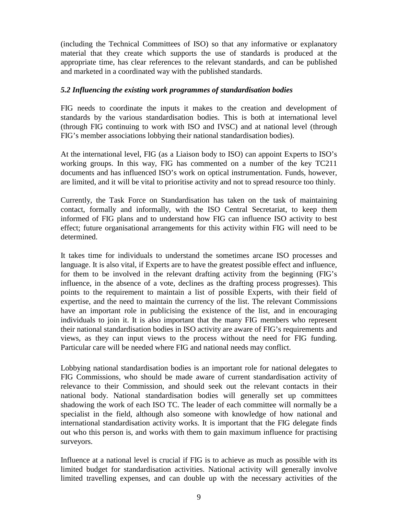(including the Technical Committees of ISO) so that any informative or explanatory material that they create which supports the use of standards is produced at the appropriate time, has clear references to the relevant standards, and can be published and marketed in a coordinated way with the published standards.

#### *5.2 Influencing the existing work programmes of standardisation bodies*

FIG needs to coordinate the inputs it makes to the creation and development of standards by the various standardisation bodies. This is both at international level (through FIG continuing to work with ISO and IVSC) and at national level (through FIG's member associations lobbying their national standardisation bodies).

At the international level, FIG (as a Liaison body to ISO) can appoint Experts to ISO's working groups. In this way, FIG has commented on a number of the key TC211 documents and has influenced ISO's work on optical instrumentation. Funds, however, are limited, and it will be vital to prioritise activity and not to spread resource too thinly.

Currently, the Task Force on Standardisation has taken on the task of maintaining contact, formally and informally, with the ISO Central Secretariat, to keep them informed of FIG plans and to understand how FIG can influence ISO activity to best effect; future organisational arrangements for this activity within FIG will need to be determined.

It takes time for individuals to understand the sometimes arcane ISO processes and language. It is also vital, if Experts are to have the greatest possible effect and influence, for them to be involved in the relevant drafting activity from the beginning (FIG's influence, in the absence of a vote, declines as the drafting process progresses). This points to the requirement to maintain a list of possible Experts, with their field of expertise, and the need to maintain the currency of the list. The relevant Commissions have an important role in publicising the existence of the list, and in encouraging individuals to join it. It is also important that the many FIG members who represent their national standardisation bodies in ISO activity are aware of FIG's requirements and views, as they can input views to the process without the need for FIG funding. Particular care will be needed where FIG and national needs may conflict.

Lobbying national standardisation bodies is an important role for national delegates to FIG Commissions, who should be made aware of current standardisation activity of relevance to their Commission, and should seek out the relevant contacts in their national body. National standardisation bodies will generally set up committees shadowing the work of each ISO TC. The leader of each committee will normally be a specialist in the field, although also someone with knowledge of how national and international standardisation activity works. It is important that the FIG delegate finds out who this person is, and works with them to gain maximum influence for practising surveyors.

Influence at a national level is crucial if FIG is to achieve as much as possible with its limited budget for standardisation activities. National activity will generally involve limited travelling expenses, and can double up with the necessary activities of the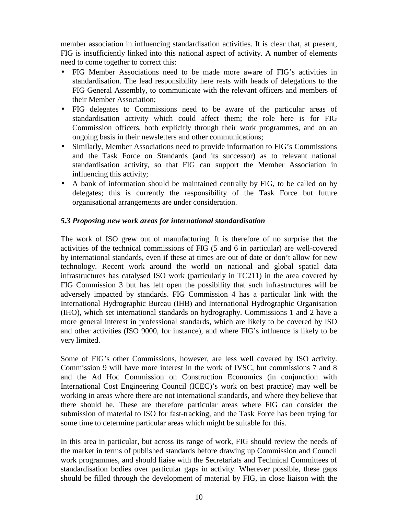member association in influencing standardisation activities. It is clear that, at present, FIG is insufficiently linked into this national aspect of activity. A number of elements need to come together to correct this:

- FIG Member Associations need to be made more aware of FIG's activities in standardisation. The lead responsibility here rests with heads of delegations to the FIG General Assembly, to communicate with the relevant officers and members of their Member Association;
- FIG delegates to Commissions need to be aware of the particular areas of standardisation activity which could affect them; the role here is for FIG Commission officers, both explicitly through their work programmes, and on an ongoing basis in their newsletters and other communications;
- Similarly, Member Associations need to provide information to FIG's Commissions and the Task Force on Standards (and its successor) as to relevant national standardisation activity, so that FIG can support the Member Association in influencing this activity;
- A bank of information should be maintained centrally by FIG, to be called on by delegates; this is currently the responsibility of the Task Force but future organisational arrangements are under consideration.

## *5.3 Proposing new work areas for international standardisation*

The work of ISO grew out of manufacturing. It is therefore of no surprise that the activities of the technical commissions of FIG (5 and 6 in particular) are well-covered by international standards, even if these at times are out of date or don't allow for new technology. Recent work around the world on national and global spatial data infrastructures has catalysed ISO work (particularly in TC211) in the area covered by FIG Commission 3 but has left open the possibility that such infrastructures will be adversely impacted by standards. FIG Commission 4 has a particular link with the International Hydrographic Bureau (IHB) and International Hydrographic Organisation (IHO), which set international standards on hydrography. Commissions 1 and 2 have a more general interest in professional standards, which are likely to be covered by ISO and other activities (ISO 9000, for instance), and where FIG's influence is likely to be very limited.

Some of FIG's other Commissions, however, are less well covered by ISO activity. Commission 9 will have more interest in the work of IVSC, but commissions 7 and 8 and the Ad Hoc Commission on Construction Economics (in conjunction with International Cost Engineering Council (ICEC)'s work on best practice) may well be working in areas where there are not international standards, and where they believe that there should be. These are therefore particular areas where FIG can consider the submission of material to ISO for fast-tracking, and the Task Force has been trying for some time to determine particular areas which might be suitable for this.

In this area in particular, but across its range of work, FIG should review the needs of the market in terms of published standards before drawing up Commission and Council work programmes, and should liaise with the Secretariats and Technical Committees of standardisation bodies over particular gaps in activity. Wherever possible, these gaps should be filled through the development of material by FIG, in close liaison with the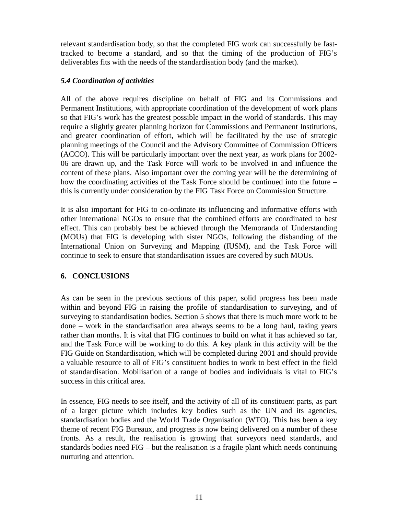relevant standardisation body, so that the completed FIG work can successfully be fasttracked to become a standard, and so that the timing of the production of FIG's deliverables fits with the needs of the standardisation body (and the market).

#### *5.4 Coordination of activities*

All of the above requires discipline on behalf of FIG and its Commissions and Permanent Institutions, with appropriate coordination of the development of work plans so that FIG's work has the greatest possible impact in the world of standards. This may require a slightly greater planning horizon for Commissions and Permanent Institutions, and greater coordination of effort, which will be facilitated by the use of strategic planning meetings of the Council and the Advisory Committee of Commission Officers (ACCO). This will be particularly important over the next year, as work plans for 2002- 06 are drawn up, and the Task Force will work to be involved in and influence the content of these plans. Also important over the coming year will be the determining of how the coordinating activities of the Task Force should be continued into the future – this is currently under consideration by the FIG Task Force on Commission Structure.

It is also important for FIG to co-ordinate its influencing and informative efforts with other international NGOs to ensure that the combined efforts are coordinated to best effect. This can probably best be achieved through the Memoranda of Understanding (MOUs) that FIG is developing with sister NGOs, following the disbanding of the International Union on Surveying and Mapping (IUSM), and the Task Force will continue to seek to ensure that standardisation issues are covered by such MOUs.

# **6. CONCLUSIONS**

As can be seen in the previous sections of this paper, solid progress has been made within and beyond FIG in raising the profile of standardisation to surveying, and of surveying to standardisation bodies. Section 5 shows that there is much more work to be done – work in the standardisation area always seems to be a long haul, taking years rather than months. It is vital that FIG continues to build on what it has achieved so far, and the Task Force will be working to do this. A key plank in this activity will be the FIG Guide on Standardisation, which will be completed during 2001 and should provide a valuable resource to all of FIG's constituent bodies to work to best effect in the field of standardisation. Mobilisation of a range of bodies and individuals is vital to FIG's success in this critical area.

In essence, FIG needs to see itself, and the activity of all of its constituent parts, as part of a larger picture which includes key bodies such as the UN and its agencies, standardisation bodies and the World Trade Organisation (WTO). This has been a key theme of recent FIG Bureaux, and progress is now being delivered on a number of these fronts. As a result, the realisation is growing that surveyors need standards, and standards bodies need FIG – but the realisation is a fragile plant which needs continuing nurturing and attention.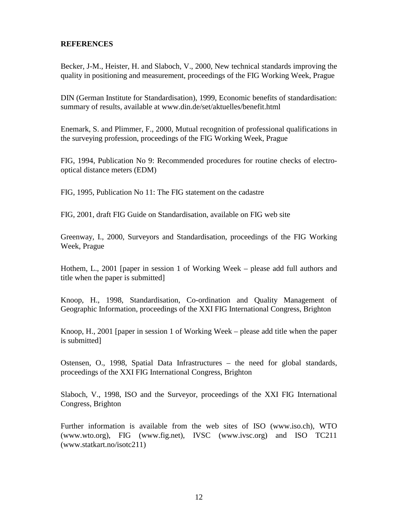#### **REFERENCES**

Becker, J-M., Heister, H. and Slaboch, V., 2000, New technical standards improving the quality in positioning and measurement, proceedings of the FIG Working Week, Prague

DIN (German Institute for Standardisation), 1999, Economic benefits of standardisation: summary of results, available at www.din.de/set/aktuelles/benefit.html

Enemark, S. and Plimmer, F., 2000, Mutual recognition of professional qualifications in the surveying profession, proceedings of the FIG Working Week, Prague

FIG, 1994, Publication No 9: Recommended procedures for routine checks of electrooptical distance meters (EDM)

FIG, 1995, Publication No 11: The FIG statement on the cadastre

FIG, 2001, draft FIG Guide on Standardisation, available on FIG web site

Greenway, I., 2000, Surveyors and Standardisation, proceedings of the FIG Working Week, Prague

Hothem, L., 2001 [paper in session 1 of Working Week – please add full authors and title when the paper is submitted]

Knoop, H., 1998, Standardisation, Co-ordination and Quality Management of Geographic Information, proceedings of the XXI FIG International Congress, Brighton

Knoop, H., 2001 [paper in session 1 of Working Week – please add title when the paper is submitted]

Ostensen, O., 1998, Spatial Data Infrastructures – the need for global standards, proceedings of the XXI FIG International Congress, Brighton

Slaboch, V., 1998, ISO and the Surveyor, proceedings of the XXI FIG International Congress, Brighton

Further information is available from the web sites of ISO (www.iso.ch), WTO (www.wto.org), FIG (www.fig.net), IVSC (www.ivsc.org) and ISO TC211 (www.statkart.no/isotc211)